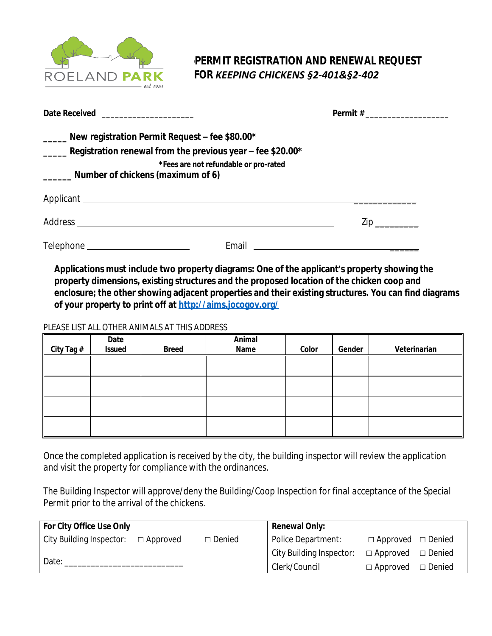

*pPERMIT REGISTRATION AND RENEWAL REQUEST FFOR KEEPING CHICKENS §2-401&§2-402*

| Date Received ______________________                                                                                                                                          |                                       |                     |  |  |
|-------------------------------------------------------------------------------------------------------------------------------------------------------------------------------|---------------------------------------|---------------------|--|--|
| _____ New registration Permit Request – fee \$80.00*<br>$\frac{1}{2}$ Registration renewal from the previous year – fee \$20.00*<br>_______ Number of chickens (maximum of 6) | *Fees are not refundable or pro-rated |                     |  |  |
|                                                                                                                                                                               |                                       |                     |  |  |
|                                                                                                                                                                               |                                       | $\mathsf{Zip} \_\_$ |  |  |
|                                                                                                                                                                               | Email                                 |                     |  |  |

**Applications must include two property diagrams: One of the applicant's property showing the property dimensions, existing structures and the proposed location of the chicken coop and enclosure; the other showing adjacent properties and their existing structures. You can find diagrams of your property to print off at<http://aims.jocogov.org/>**

## PLEASE LIST ALL OTHER ANIMALS AT THIS ADDRESS

|            | Date          |              | Animal |       |        |              |  |
|------------|---------------|--------------|--------|-------|--------|--------------|--|
| City Tag # | <b>Issued</b> | <b>Breed</b> | Name   | Color | Gender | Veterinarian |  |
|            |               |              |        |       |        |              |  |
|            |               |              |        |       |        |              |  |
|            |               |              |        |       |        |              |  |
|            |               |              |        |       |        |              |  |
|            |               |              |        |       |        |              |  |
|            |               |              |        |       |        |              |  |
|            |               |              |        |       |        |              |  |
|            |               |              |        |       |        |              |  |

*Once the completed application is received by the city, the building inspector will review the application and visit the property for compliance with the ordinances.*

*The Building Inspector will approve/deny the Building/Coop Inspection for final acceptance of the Special Permit prior to the arrival of the chickens.*

| For City Office Use Only |                 |               | <b>Renewal Only:</b>     |                               |  |  |
|--------------------------|-----------------|---------------|--------------------------|-------------------------------|--|--|
| City Building Inspector: | $\Box$ Approved | $\Box$ Denied | Police Department:       | $\Box$ Approved $\Box$ Denied |  |  |
| Date:                    |                 |               | City Building Inspector: | $\Box$ Approved $\Box$ Denied |  |  |
|                          |                 |               | Clerk/Council            | $\Box$ Approved $\Box$ Denied |  |  |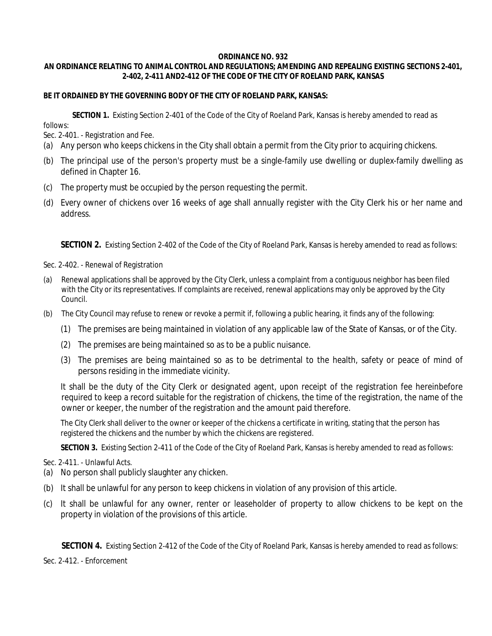## **ORDINANCE NO. 932**

## **AN ORDINANCE RELATING TO ANIMAL CONTROL AND REGULATIONS; AMENDING AND REPEALING EXISTING SECTIONS 2-401, 2-402, 2-411 AND2-412 OF THE CODE OF THE CITY OF ROELAND PARK, KANSAS**

## **BE IT ORDAINED BY THE GOVERNING BODY OF THE CITY OF ROELAND PARK, KANSAS:**

**SECTION 1.** Existing Section 2-401 of the Code of the City of Roeland Park, Kansas is hereby amended to read as

follows:

Sec. 2-401. - Registration and Fee.

- (a) Any person who keeps chickens in the City shall obtain a permit from the City prior to acquiring chickens.
- (b) The principal use of the person's property must be a single-family use dwelling or duplex-family dwelling as defined in Chapter 16.
- (c) The property must be occupied by the person requesting the permit.
- (d) Every owner of chickens over 16 weeks of age shall annually register with the City Clerk his or her name and address.

**SECTION 2.** Existing Section 2-402 of the Code of the City of Roeland Park, Kansas is hereby amended to read as follows:

Sec. 2-402. - Renewal of Registration

- (a) Renewal applications shall be approved by the City Clerk, unless a complaint from a contiguous neighbor has been filed with the City or its representatives. If complaints are received, renewal applications may only be approved by the City Council.
- (b) The City Council may refuse to renew or revoke a permit if, following a public hearing, it finds any of the following:
	- (1) The premises are being maintained in violation of any applicable law of the State of Kansas, or of the City.
	- (2) The premises are being maintained so as to be a public nuisance.
	- (3) The premises are being maintained so as to be detrimental to the health, safety or peace of mind of persons residing in the immediate vicinity.

It shall be the duty of the City Clerk or designated agent, upon receipt of the registration fee hereinbefore required to keep a record suitable for the registration of chickens, the time of the registration, the name of the owner or keeper, the number of the registration and the amount paid therefore.

The City Clerk shall deliver to the owner or keeper of the chickens a certificate in writing, stating that the person has registered the chickens and the number by which the chickens are registered.

**SECTION 3.** Existing Section 2-411 of the Code of the City of Roeland Park, Kansas is hereby amended to read as follows:

Sec. 2-411. - Unlawful Acts.

- (a) No person shall publicly slaughter any chicken.
- (b) It shall be unlawful for any person to keep chickens in violation of any provision of this article.
- (c) It shall be unlawful for any owner, renter or leaseholder of property to allow chickens to be kept on the property in violation of the provisions of this article.

**SECTION 4.** Existing Section 2-412 of the Code of the City of Roeland Park, Kansas is hereby amended to read as follows:

Sec. 2-412. - Enforcement